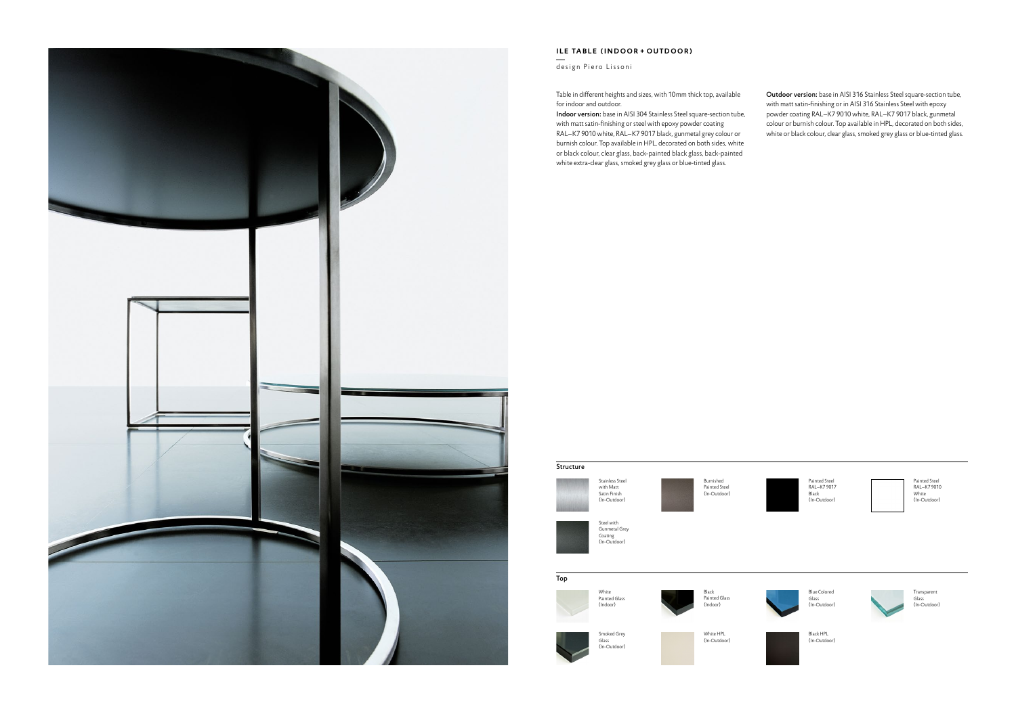

## **ILE TABLE (INDOOR + OUTDOOR)**

design Piero Lissoni

Blue Colored Glass (In-Outdoor)



Black HPL (In-Outdoor) Transparent Glass (In-Outdoor)



Painted Steel RAL–K7 9017 Black (In-Outdoor)



Painted Steel RAL–K7 9010 White (In-Outdoor)

Indoor version: base in AISI 304 Stainless Steel square-section tube, with matt satin-finishing or steel with epoxy powder coating RAL–K7 9010 white, RAL–K7 9017 black, gunmetal grey colour or burnish colour. Top available in HPL, decorated on both sides, white or black colour, clear glass, back-painted black glass, back-painted white extra-clear glass, smoked grey glass or blue-tinted glass.

Table in different heights and sizes, with 10mm thick top, available for indoor and outdoor.

Outdoor version: base in AISI 316 Stainless Steel square-section tube, with matt satin-finishing or in AISI 316 Stainless Steel with epoxy powder coating RAL–K7 9010 white, RAL–K7 9017 black, gunmetal colour or burnish colour. Top available in HPL, decorated on both sides, white or black colour, clear glass, smoked grey glass or blue-tinted glass.